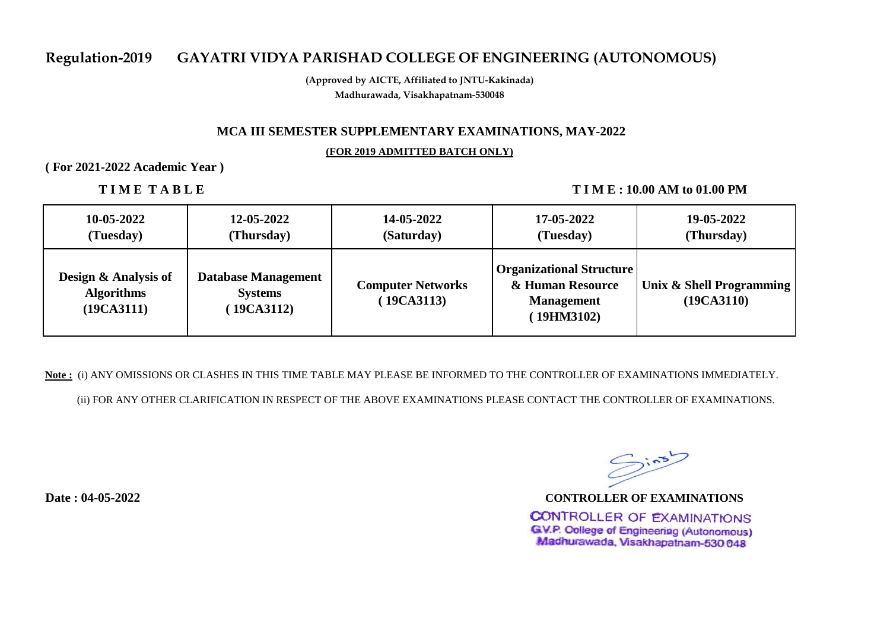## **Regulation-2019 GAYATRI VIDYA PARISHAD COLLEGE OF ENGINEERING (AUTONOMOUS)**

**(Approved by AICTE, Affiliated to JNTU-Kakinada) Madhurawada, Visakhapatnam-530048**

### **MCA III SEMESTER SUPPLEMENTARY EXAMINATIONS, MAY-2022**

#### **(FOR 2019 ADMITTED BATCH ONLY)**

**( For 2021-2022 Academic Year )** 

**TIME TABLE** TIME: 10.00 AM to 01.00 PM

| 10-05-2022                                              | 12-05-2022                                               | 14-05-2022                             | 17-05-2022                                                                             | 19-05-2022                             |
|---------------------------------------------------------|----------------------------------------------------------|----------------------------------------|----------------------------------------------------------------------------------------|----------------------------------------|
| (Tuesday)                                               | (Thursday)                                               | (Saturday)                             | (Tuesday)                                                                              | (Thursday)                             |
| Design & Analysis of<br><b>Algorithms</b><br>(19CA3111) | <b>Database Management</b><br><b>Systems</b><br>19CA3112 | <b>Computer Networks</b><br>(19CA3113) | <b>Organizational Structure</b><br>& Human Resource<br><b>Management</b><br>(19HM3102) | Unix & Shell Programming<br>(19CA3110) |

**Note :** (i) ANY OMISSIONS OR CLASHES IN THIS TIME TABLE MAY PLEASE BE INFORMED TO THE CONTROLLER OF EXAMINATIONS IMMEDIATELY.

(ii) FOR ANY OTHER CLARIFICATION IN RESPECT OF THE ABOVE EXAMINATIONS PLEASE CONTACT THE CONTROLLER OF EXAMINATIONS.

**Date : 04-05-2022**

 $Sins$ **CONTROLLER OF EXAMINATIONS**

**CONTROLLER OF EXAMINATIONS GV.P. College of Engineering (Autonomous)** Madhurawada, Visakhapatnam-530 048